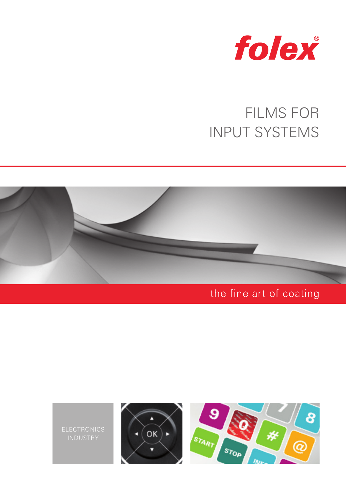

# FILMS FOR INPUT SYSTEMS



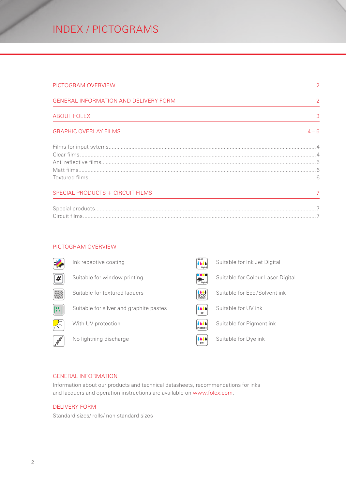## INDEX / PICTOGRAMS

| PICTOGRAM OVERVIEW                           | 2             |
|----------------------------------------------|---------------|
| <b>GENERAL INFORMATION AND DELIVERY FORM</b> | $\mathcal{P}$ |
| <b>ABOUT FOLEX</b>                           | 3             |
| <b>GRAPHIC OVERLAY FILMS</b>                 | $4 - 6$       |
|                                              |               |
|                                              |               |
|                                              |               |
|                                              |               |
|                                              |               |
| SPECIAL PRODUCTS + CIRCUIT FILMS             |               |
|                                              |               |
|                                              |               |

### PICTOGRAM OVERVIEW



### GENERAL INFORMATION

Information about our products and technical datasheets, recommendations for inks and lacquers and operation instructions are available on www.folex.com.

### DELIVERY FORM

Standard sizes/ rolls/ non standard sizes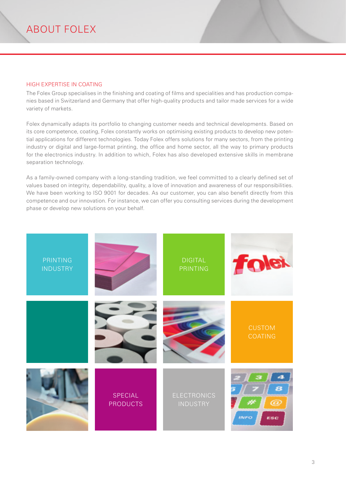### <span id="page-2-0"></span>HIGH EXPERTISE IN COATING

The Folex Group specialises in the finishing and coating of films and specialities and has production companies based in Switzerland and Germany that offer high-quality products and tailor made services for a wide variety of markets.

Folex dynamically adapts its portfolio to changing customer needs and technical developments. Based on its core competence, coating, Folex constantly works on optimising existing products to develop new potential applications for different technologies. Today Folex offers solutions for many sectors, from the printing industry or digital and large-format printing, the office and home sector, all the way to primary products for the electronics industry. In addition to which, Folex has also developed extensive skills in membrane separation technology.

As a family-owned company with a long-standing tradition, we feel committed to a clearly defined set of values based on integrity, dependability, quality, a love of innovation and awareness of our responsibilities. We have been working to ISO 9001 for decades. As our customer, you can also benefit directly from this competence and our innovation. For instance, we can offer you consulting services during the development phase or develop new solutions on your behalf.

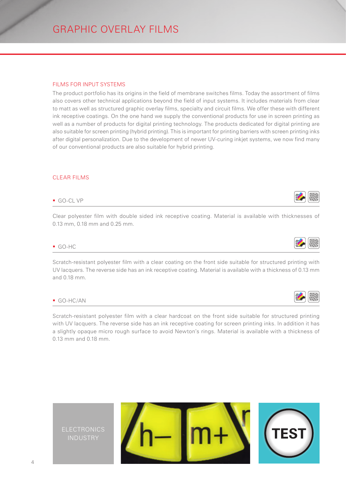<span id="page-3-0"></span>GRAPHIC OVERLAY FILMS

### FILMS FOR INPUT SYSTEMS

The product portfolio has its origins in the field of membrane switches films. Today the assortment of films also covers other technical applications beyond the field of input systems. It includes materials from clear to matt as well as structured graphic overlay films, specialty and circuit films. We offer these with different ink receptive coatings. On the one hand we supply the conventional products for use in screen printing as well as a number of products for digital printing technology. The products dedicated for digital printing are also suitable for screen printing (hybrid printing). This is important for printing barriers with screen printing inks after digital personalization. Due to the development of newer UV-curing inkjet systems, we now find many of our conventional products are also suitable for hybrid printing.

### CLEAR FILMS

### ■ GO-CL VP

Clear polyester film with double sided ink receptive coating. Material is available with thicknesses of 0.13 mm, 0.18 mm and 0.25 mm.

### GO-HC

Scratch-resistant polyester film with a clear coating on the front side suitable for structured printing with UV lacquers. The reverse side has an ink receptive coating. Material is available with a thickness of 0.13 mm and 0.18 mm.

### $GO-HC/AN$

Scratch-resistant polyester film with a clear hardcoat on the front side suitable for structured printing with UV lacquers. The reverse side has an ink receptive coating for screen printing inks. In addition it has a slightly opaque micro rough surface to avoid Newton's rings. Material is available with a thickness of 0.13 mm and 0.18 mm.







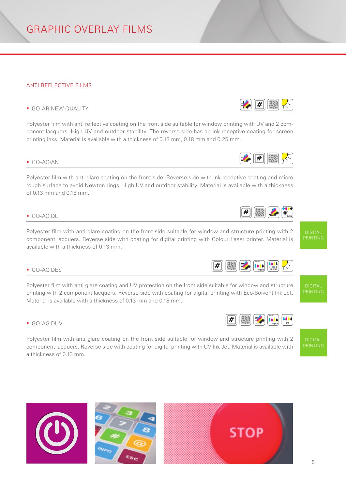<span id="page-4-0"></span>GRAPHIC OVERLAY FILMS

### ANTI REFLECTIVE FILMS

## **GO-AR NEW QUALITY**  $\left| \frac{H}{H} \right|$

Polyester film with anti reflective coating on the front side suitable for window printing with UV and 2 component lacquers. High UV and outdoor stability. The reverse side has an ink receptive coating for screen printing inks. Material is available with a thickness of 0.13 mm, 0.18 mm and 0.25 mm.

Polyester film with anti glare coating on the front side. Reverse side with ink receptive coating and micro rough surface to avoid Newton rings. High UV and outdoor stability. Material is available with a thickness of 0.13 mm and 0.18 mm.

Polyester film with anti glare coating on the front side suitable for window and structure printing with 2 component lacquers. Reverse side with coating for digital printing with Colour Laser printer. Material is available with a thickness of 0.13 mm.

Polyester film with anti glare coating and UV protection on the front side suitable for window and structure printing with 2 component lacquers. Reverse side with coating for digital printing with Eco/Solvent Ink Jet. Material is available with a thickness of 0.13 mm and 0.18 mm.

Polyester film with anti glare coating on the front side suitable for window and structure printing with 2 component lacquers. Reverse side with coating for digital printing with UV Ink Jet. Material is available with a thickness of 0.13 mm.











INK-JET

UV





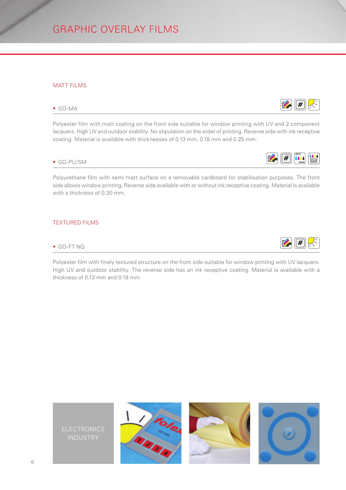<span id="page-5-0"></span>GRAPHIC OVERLAY FILMS

### MATT FILMS

Polyester film with matt coating on the front side suitable for window printing with UV and 2 component lacquers. High UV and outdoor stability. No stipulation on the order of printing. Reverse side with ink receptive coating. Material is available with thicknesses of 0.13 mm, 0.18 mm and 0.25 mm.

## $\begin{array}{|c|c|c|c|c|}\hline \text{G0-PU/SM} & \text{H & 0.04}\hline \end{array}$

Polyurethane film with semi matt surface on a removable cardboard for stabilisation purposes. The front side allows window printing. Reverse side available with or without ink receptive coating. Material is available with a thickness of 0.30 mm.

### TEXTURED FILMS

Polyester film with finely textured structure on the front side suitable for window printing with UV lacquers. High UV and outdoor stability. The reverse side has an ink receptive coating. Material is available with a thickness of 0.13 mm and 0.18 mm.







INK-JET

ECO SOLVENT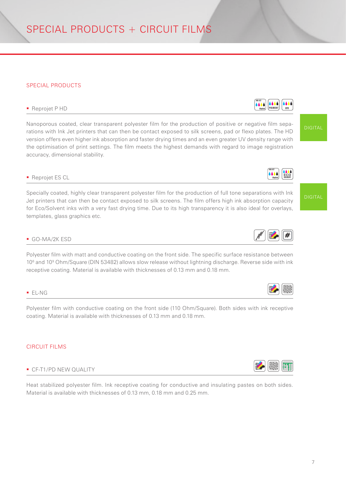## <span id="page-6-0"></span>SPECIAL PRODUCTS + CIRCUIT FILMS

### SPECIAL PRODUCTS

## Reprojet P HD **Contains the Contact PIGMENT** DIGITAL POINT OF REPROJECT P HD

Nanoporous coated, clear transparent polyester film for the production of positive or negative film separations with Ink Jet printers that can then be contact exposed to silk screens, pad or flexo plates. The HD version offers even higher ink absorption and faster drying times and an even greater UV density range with the optimisation of print settings. The film meets the highest demands with regard to image registration accuracy, dimensional stability.

### **Reprojet ES CL**

Specially coated, highly clear transparent polyester film for the production of full tone separations with Ink Jet printers that can then be contact exposed to silk screens. The film offers high ink absorption capacity for Eco/Solvent inks with a very fast drying time. Due to its high transparency it is also ideal for overlays, templates, glass graphics etc.

Polyester film with matt and conductive coating on the front side. The specific surface resistance between 10<sup>6</sup> and 10<sup>9</sup> Ohm/Square (DIN 53482) allows slow release without lightning discharge. Reverse side with ink receptive coating. Material is available with thicknesses of 0.13 mm and 0.18 mm.

### EL-NG

Polyester film with conductive coating on the front side (110 Ohm/Square). Both sides with ink receptive coating. Material is available with thicknesses of 0.13 mm and 0.18 mm.

### CIRCUIT FILMS

### CF-T1/PD NEW QUALITY

Heat stabilized polyester film. Ink receptive coating for conductive and insulating pastes on both sides. Material is available with thicknesses of 0.13 mm, 0.18 mm and 0.25 mm.







INK-JET

DIGITAL

DIGITAL